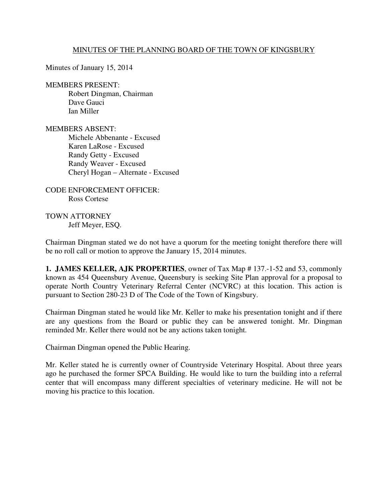## MINUTES OF THE PLANNING BOARD OF THE TOWN OF KINGSBURY

Minutes of January 15, 2014

MEMBERS PRESENT:

 Robert Dingman, Chairman Dave Gauci Ian Miller

MEMBERS ABSENT: Michele Abbenante - Excused Karen LaRose - Excused Randy Getty - Excused Randy Weaver - Excused Cheryl Hogan – Alternate - Excused

CODE ENFORCEMENT OFFICER: Ross Cortese

TOWN ATTORNEY Jeff Meyer, ESQ.

Chairman Dingman stated we do not have a quorum for the meeting tonight therefore there will be no roll call or motion to approve the January 15, 2014 minutes.

**1. JAMES KELLER, AJK PROPERTIES**, owner of Tax Map # 137.-1-52 and 53, commonly known as 454 Queensbury Avenue, Queensbury is seeking Site Plan approval for a proposal to operate North Country Veterinary Referral Center (NCVRC) at this location. This action is pursuant to Section 280-23 D of The Code of the Town of Kingsbury.

Chairman Dingman stated he would like Mr. Keller to make his presentation tonight and if there are any questions from the Board or public they can be answered tonight. Mr. Dingman reminded Mr. Keller there would not be any actions taken tonight.

Chairman Dingman opened the Public Hearing.

Mr. Keller stated he is currently owner of Countryside Veterinary Hospital. About three years ago he purchased the former SPCA Building. He would like to turn the building into a referral center that will encompass many different specialties of veterinary medicine. He will not be moving his practice to this location.